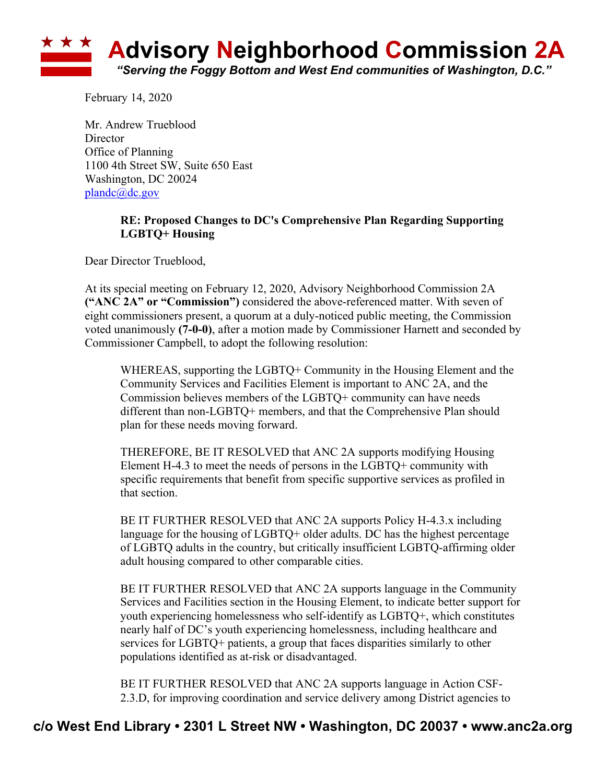

February 14, 2020

Mr. Andrew Trueblood **Director** Office of Planning 1100 4th Street SW, Suite 650 East Washington, DC 20024 plandc@dc.gov

## **RE: Proposed Changes to DC's Comprehensive Plan Regarding Supporting LGBTQ+ Housing**

Dear Director Trueblood,

At its special meeting on February 12, 2020, Advisory Neighborhood Commission 2A **("ANC 2A" or "Commission")** considered the above-referenced matter. With seven of eight commissioners present, a quorum at a duly-noticed public meeting, the Commission voted unanimously **(7-0-0)**, after a motion made by Commissioner Harnett and seconded by Commissioner Campbell, to adopt the following resolution:

WHEREAS, supporting the LGBTQ+ Community in the Housing Element and the Community Services and Facilities Element is important to ANC 2A, and the Commission believes members of the LGBTQ+ community can have needs different than non-LGBTQ+ members, and that the Comprehensive Plan should plan for these needs moving forward.

THEREFORE, BE IT RESOLVED that ANC 2A supports modifying Housing Element H-4.3 to meet the needs of persons in the LGBTQ+ community with specific requirements that benefit from specific supportive services as profiled in that section.

BE IT FURTHER RESOLVED that ANC 2A supports Policy H-4.3.x including language for the housing of LGBTQ+ older adults. DC has the highest percentage of LGBTQ adults in the country, but critically insufficient LGBTQ-affirming older adult housing compared to other comparable cities.

BE IT FURTHER RESOLVED that ANC 2A supports language in the Community Services and Facilities section in the Housing Element, to indicate better support for youth experiencing homelessness who self-identify as LGBTQ+, which constitutes nearly half of DC's youth experiencing homelessness, including healthcare and services for LGBTQ+ patients, a group that faces disparities similarly to other populations identified as at-risk or disadvantaged.

BE IT FURTHER RESOLVED that ANC 2A supports language in Action CSF-2.3.D, for improving coordination and service delivery among District agencies to